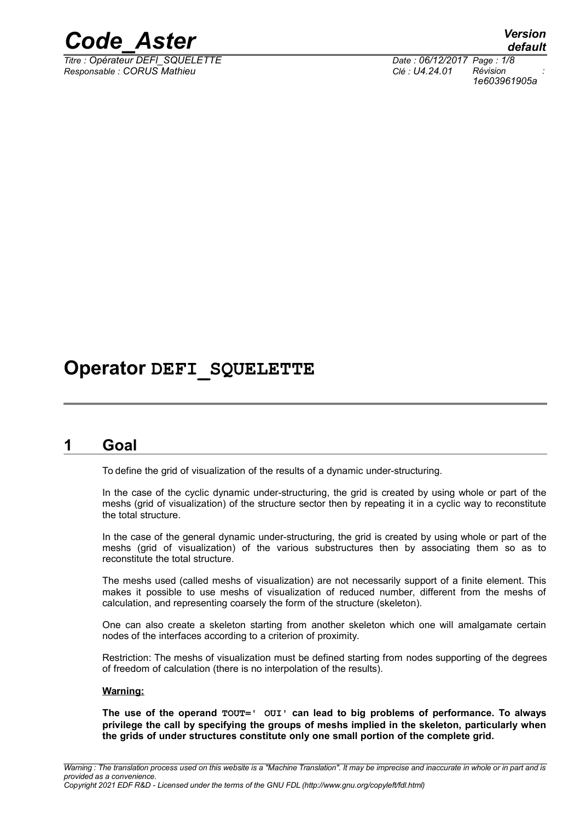

*Titre : Opérateur DEFI\_SQUELETTE Date : 06/12/2017 Page : 1/8 Responsable : CORUS Mathieu Clé : U4.24.01 Révision :*

*default 1e603961905a*

# **Operator DEFI\_SQUELETTE**

# **1 Goal**

To define the grid of visualization of the results of a dynamic under-structuring.

In the case of the cyclic dynamic under-structuring, the grid is created by using whole or part of the meshs (grid of visualization) of the structure sector then by repeating it in a cyclic way to reconstitute the total structure.

In the case of the general dynamic under-structuring, the grid is created by using whole or part of the meshs (grid of visualization) of the various substructures then by associating them so as to reconstitute the total structure.

The meshs used (called meshs of visualization) are not necessarily support of a finite element. This makes it possible to use meshs of visualization of reduced number, different from the meshs of calculation, and representing coarsely the form of the structure (skeleton).

One can also create a skeleton starting from another skeleton which one will amalgamate certain nodes of the interfaces according to a criterion of proximity.

Restriction: The meshs of visualization must be defined starting from nodes supporting of the degrees of freedom of calculation (there is no interpolation of the results).

#### **Warning:**

**The use of the operand TOUT=' OUI' can lead to big problems of performance. To always privilege the call by specifying the groups of meshs implied in the skeleton, particularly when the grids of under structures constitute only one small portion of the complete grid.**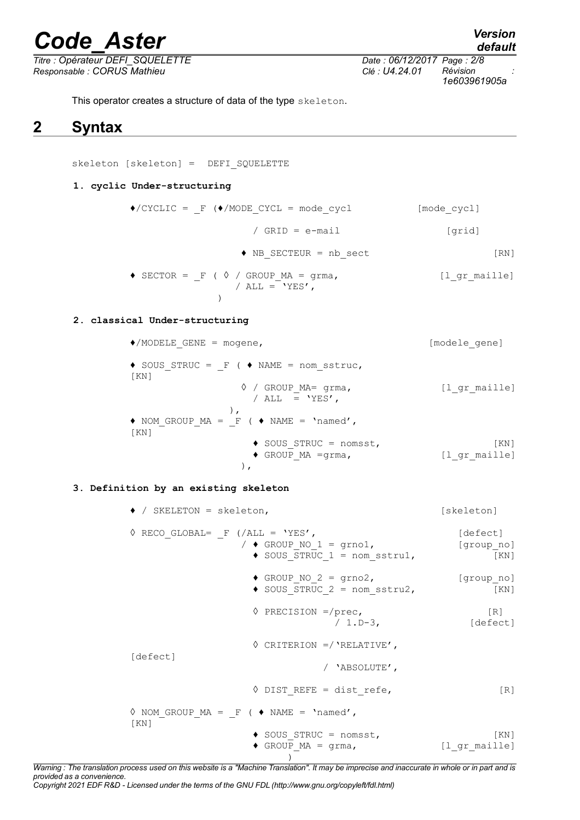*Titre : Opérateur DEFI\_SQUELETTE Date : 06/12/2017 Page : 2/8 Responsable : CORUS Mathieu Clé : U4.24.01 Révision :*

*1e603961905a*

This operator creates a structure of data of the type skeleton.

# **2 Syntax**

skeleton [skeleton] = DEFI SQUELETTE

#### **1. cyclic Under-structuring**

| $\bullet$ /CYCLIC = F ( $\bullet$ /MODE CYCL = mode cycl                  | [mode cycl]        |
|---------------------------------------------------------------------------|--------------------|
| / GRID = $e$ -mail                                                        | [qrid]             |
| $\blacklozenge$ NB SECTEUR = nb sect                                      | $\lceil RN \rceil$ |
| $\bullet$ SECTOR = F ( $\Diamond$ / GROUP MA = grma,<br>/ ALL = $'YES'$ , | [l gr maille]      |

#### **2. classical Under-structuring**

| $\bullet$ /MODELE GENE = mogene,                               | [modele gene]         |
|----------------------------------------------------------------|-----------------------|
| $\bullet$ SOUS STRUC = F ( $\bullet$ NAME = nom sstruc,<br>KN  |                       |
| $\Diamond$ / GROUP MA= qrma,<br>/ ALL = $'YES'$ ,              | [l gr maille]         |
| $\rightarrow$ NOM GROUP MA = F ( $\rightarrow$ NAME = 'named', |                       |
| KN                                                             |                       |
| $\bullet$ SOUS STRUC = nomsst,<br>$\bullet$ GROUP MA = grma,   | [KN]<br>[l gr maille] |
|                                                                |                       |

#### **3. Definition by an existing skeleton**

| $\bullet$ / SKELETON = skeleton,                                                                                    | [skeleton]                    |
|---------------------------------------------------------------------------------------------------------------------|-------------------------------|
| $\Diamond$ RECO GLOBAL= F (/ALL = 'YES',<br>/ $\bullet$ GROUP NO 1 = grno1,<br>$\bullet$ SOUS STRUC 1 = nom sstru1, | [defect]<br>[group no]<br>KN  |
| $\bullet$ GROUP NO 2 = grno2,<br>$\bullet$ SOUS STRUC 2 = nom sstru2,                                               | [group no]<br>KN              |
| $\Diamond$ PRECISION =/prec,<br>$/ 1.D-3.$                                                                          | $\lceil R \rceil$<br>[defect] |
| $\Diamond$ CRITERION =/ 'RELATIVE',                                                                                 |                               |
| [defect]<br>/ 'ABSOLUTE',                                                                                           |                               |
| $\Diamond$ DIST REFE = dist refe,                                                                                   | $\lceil R \rceil$             |
| $\Diamond$ NOM GROUP MA = F ( $\Diamond$ NAME = 'named',                                                            |                               |
| KN<br>$\bullet$ SOUS STRUC = nomsst,<br>$\bullet$ GROUP MA = qrma,                                                  | [KN]<br>[l gr maille]         |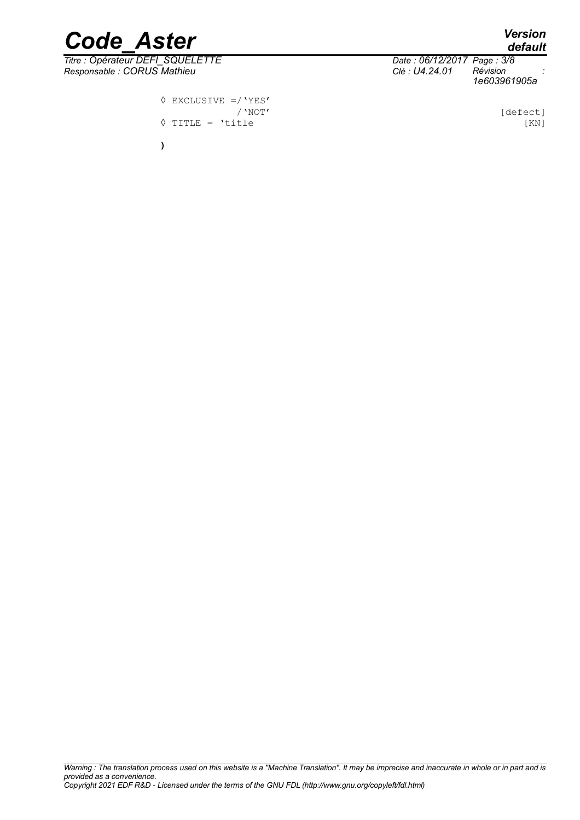*default*

# *Code\_Aster Version*

*Titre : Opérateur DEFI\_SQUELETTE Date : 06/12/2017 Page : 3/8 Responsable : CORUS Mathieu Clé : U4.24.01 Révision :*

> **◊** EXCLUSIVE =/'YES' ◊ TITLE = 'title [KN] **)**

*1e603961905a*

[defect]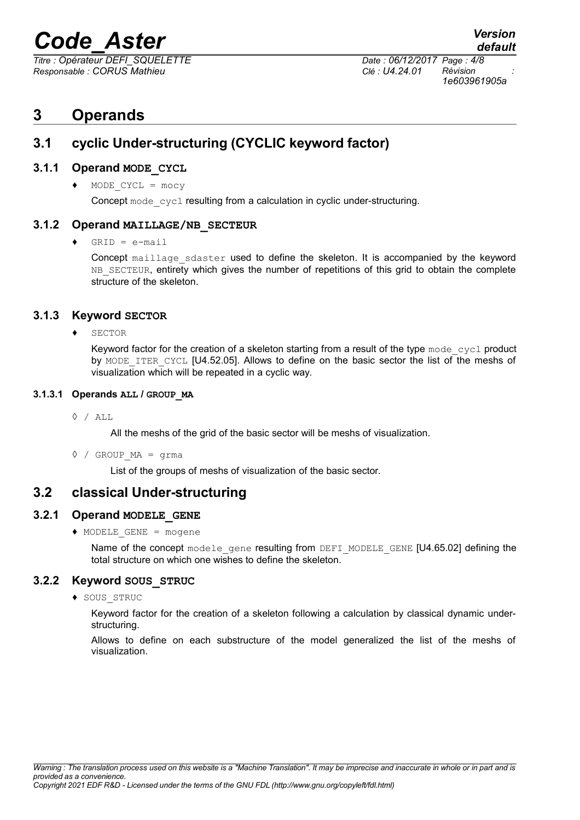*Titre : Opérateur DEFI\_SQUELETTE Date : 06/12/2017 Page : 4/8 Responsable : CORUS Mathieu Clé : U4.24.01 Révision :*

*default 1e603961905a*

# **3 Operands**

## **3.1 cyclic Under-structuring (CYCLIC keyword factor)**

### **3.1.1 Operand MODE\_CYCL**

♦ MODE\_CYCL = mocy

Concept mode cycl resulting from a calculation in cyclic under-structuring.

### **3.1.2 Operand MAILLAGE/NB\_SECTEUR**

 $GRID = e-mail$ 

Concept maillage sdaster used to define the skeleton. It is accompanied by the keyword NB\_SECTEUR, entirety which gives the number of repetitions of this grid to obtain the complete structure of the skeleton.

### **3.1.3 Keyword SECTOR**

♦ SECTOR

Keyword factor for the creation of a skeleton starting from a result of the type  $\text{mod}e_{\text{cycl}}$  product by MODE ITER CYCL [U4.52.05]. Allows to define on the basic sector the list of the meshs of visualization which will be repeated in a cyclic way.

#### **3.1.3.1 Operands ALL / GROUP\_MA**

**◊** / ALL

All the meshs of the grid of the basic sector will be meshs of visualization.

**◊** / GROUP\_MA = grma

List of the groups of meshs of visualization of the basic sector.

## **3.2 classical Under-structuring**

### **3.2.1 Operand MODELE\_GENE**

♦ MODELE\_GENE = mogene

Name of the concept modele gene resulting from DEFI\_MODELE\_GENE [U4.65.02] defining the total structure on which one wishes to define the skeleton.

### **3.2.2 Keyword SOUS\_STRUC**

♦ SOUS\_STRUC

Keyword factor for the creation of a skeleton following a calculation by classical dynamic understructuring.

Allows to define on each substructure of the model generalized the list of the meshs of visualization.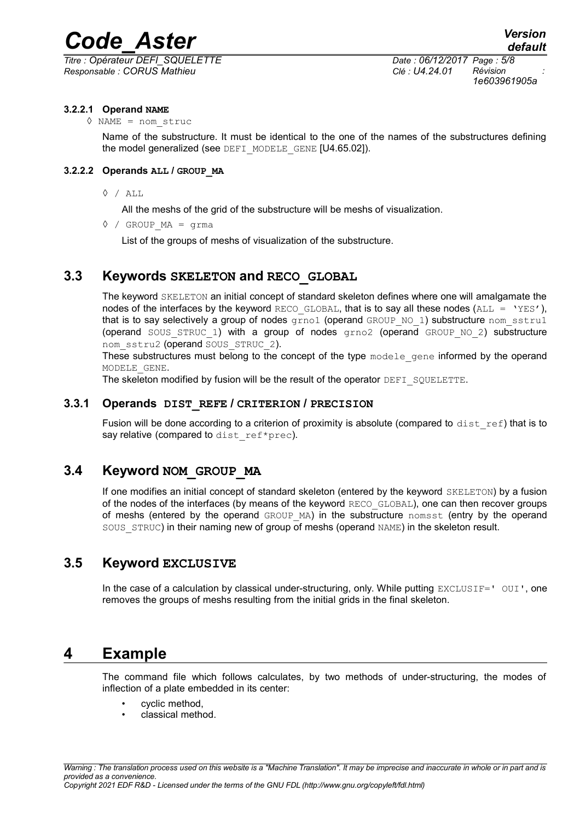*Titre : Opérateur DEFI\_SQUELETTE Date : 06/12/2017 Page : 5/8 Responsable : CORUS Mathieu Clé : U4.24.01 Révision :*

*1e603961905a*

#### **3.2.2.1 Operand NAME**

**◊** NAME = nom\_struc

Name of the substructure. It must be identical to the one of the names of the substructures defining the model generalized (see DEFI\_MODELE\_GENE [U4.65.02]).

#### **3.2.2.2 Operands ALL / GROUP\_MA**

**◊** / ALL

All the meshs of the grid of the substructure will be meshs of visualization.

**◊** / GROUP\_MA = grma

List of the groups of meshs of visualization of the substructure.

## **3.3 Keywords SKELETON and RECO\_GLOBAL**

The keyword SKELETON an initial concept of standard skeleton defines where one will amalgamate the nodes of the interfaces by the keyword RECO GLOBAL, that is to say all these nodes (ALL = 'YES'), that is to say selectively a group of nodes  $q_{\text{rno1}}$  (operand GROUP NO 1) substructure nom sstru1 (operand SOUS STRUC 1) with a group of nodes  $qrno2$  (operand GROUP NO 2) substructure nom\_sstru2 (operand SOUS\_STRUC\_2).

These substructures must belong to the concept of the type modele gene informed by the operand MODELE\_GENE.

The skeleton modified by fusion will be the result of the operator DEFI\_SQUELETTE.

#### **3.3.1 Operands DIST\_REFE / CRITERION / PRECISION**

Fusion will be done according to a criterion of proximity is absolute (compared to  $dist$  ref) that is to say relative (compared to dist ref\*prec).

### **3.4 Keyword NOM\_GROUP\_MA**

If one modifies an initial concept of standard skeleton (entered by the keyword SKELETON) by a fusion of the nodes of the interfaces (by means of the keyword RECO\_GLOBAL), one can then recover groups of meshs (entered by the operand GROUP\_MA) in the substructure nomsst (entry by the operand SOUS STRUC) in their naming new of group of meshs (operand NAME) in the skeleton result.

## **3.5 Keyword EXCLUSIVE**

In the case of a calculation by classical under-structuring, only. While putting EXCLUSIF=' OUI', one removes the groups of meshs resulting from the initial grids in the final skeleton.

## **4 Example**

The command file which follows calculates, by two methods of under-structuring, the modes of inflection of a plate embedded in its center:

- cyclic method,
- classical method.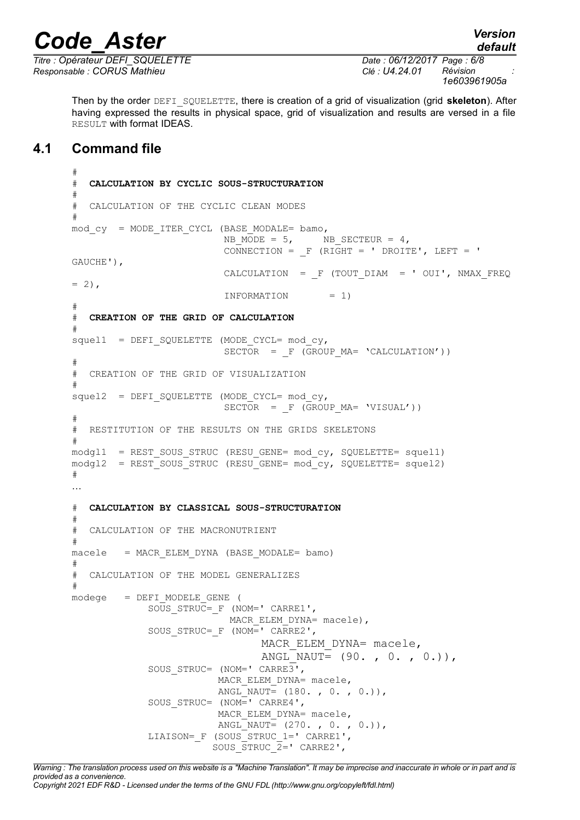*Titre : Opérateur DEFI\_SQUELETTE Date : 06/12/2017 Page : 6/8 Responsable : CORUS Mathieu Clé : U4.24.01 Révision :*

*default*

Then by the order DEFI\_SQUELETTE, there is creation of a grid of visualization (grid **skeleton**). After having expressed the results in physical space, grid of visualization and results are versed in a file RESULT with format IDEAS.

## **4.1 Command file**

```
#
# CALCULATION BY CYCLIC SOUS-STRUCTURATION
#
# CALCULATION OF THE CYCLIC CLEAN MODES
#
mod\ cy = MODE ITER CYCL (BASE MODALE= bamo,
NB_MODE = 5, NB_SECTEUR = 4,
\text{CONNECTION} = \text{F} (RIGHT = ' DROITE', LEFT = '
GAUCHE'),
                         CALCULATION = F (TOUT DIAM = ' OUI', NMAX FREQ
= 2),
                          INFORMATION = 1)
#
# CREATION OF THE GRID OF CALCULATION
#
squell1 = DEFI SQUELETTE (MODE CYCL= mod cy,
                         SECTION = F (GROUP MA = 'CALCULATION'))#
# CREATION OF THE GRID OF VISUALIZATION
#
sque12 = DEFI SQUELETTE (MODE CYCL= mod cy,SECTION = F (GROUP MA = 'VISUAL'))#
# RESTITUTION OF THE RESULTS ON THE GRIDS SKELETONS
#
modgl1 = REST SOUS STRUC (RESU GENE= mod cy, SQUELETTE= squel1)
modgl2 = REST SOUS STRUC (RESU GENE= mod cy, SQUELETTE= squel2)
#
…
# CALCULATION BY CLASSICAL SOUS-STRUCTURATION
#
# CALCULATION OF THE MACRONUTRIENT
#
macele = MACR_ELEM_DYNA (BASE_MODALE= bamo)
#
# CALCULATION OF THE MODEL GENERALIZES
#
modeqe = DEFI_MODELE_GENE (
             SOUS_STRUC=_F (NOM=' CARRE1',
                         MACR ELEM DYNA= macele),
            SOUS STRUC= F (NOM=' CARRE2',
                               MACR ELEM DYNA= macele,
                               ANGL NAUT= (90. , 0. , 0.)),
            SOUS STRUC= (NOM=' CARRE3',
                        MACR ELEM DYNA= macele,
                        ANGL NAUT= (180. , 0. , 0.)
             SOUS_STRUC= (NOM=' CARRE4',
                        MACR ELEM DYNA= macele,
                        ANGL NAUT= (270., 0., 0.)),
            LIAISON= F (SOUS STRUC 1=' CARRE1',
                       SOUS STRUC 2= CARRE2',
```
*Warning : The translation process used on this website is a "Machine Translation". It may be imprecise and inaccurate in whole or in part and is provided as a convenience. Copyright 2021 EDF R&D - Licensed under the terms of the GNU FDL (http://www.gnu.org/copyleft/fdl.html)*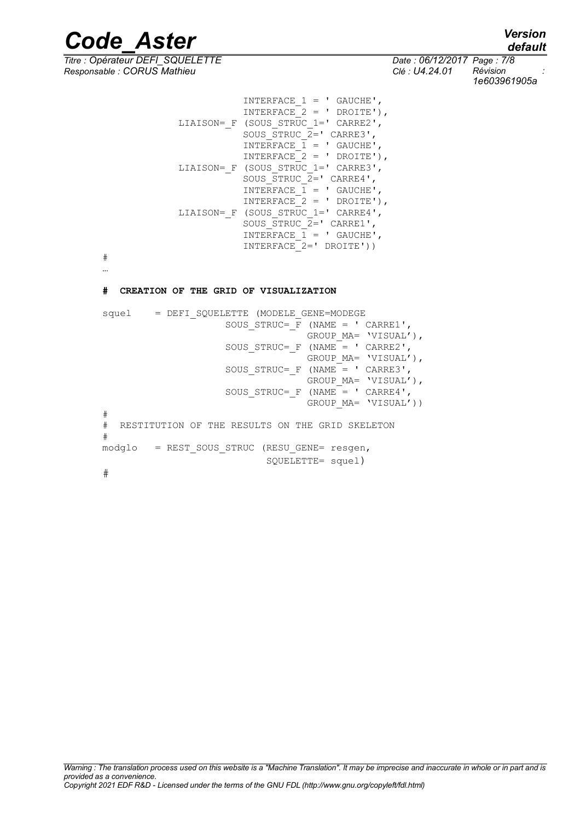*default*

*Titre : Opérateur DEFI\_SQUELETTE Date : 06/12/2017 Page : 7/8 Responsable : CORUS Mathieu Clé : U4.24.01 Révision :*

*1e603961905a*

```
INTERFACE 1 = ' GAUCHE',
                       INTERFACE<sup>-</sup>2 = ' DROITE'),LIAISON= F (SOUS STRUC 1=' CARRE2',
                       SOUS STRUC 2= CARRE3',
                       INTERFACE 1 = \cdot GAUCHE',
                       INTERFACE<sup>-</sup>2 = ' DROITE'),LIAISON= F (SOUS STRUC 1=' CARRE3',
                       SOUS STRUC 2=' CARRE4',
                       INTERFACE \overline{1} = ' GAUCHE',
                       INTERFACE 2 = ' DROITE'),
            LIAISON= F (SOUS STRUC 1=' CARRE4',
 SOUS_STRUC_2=' CARRE1',
INTERFACE 1 = ' GAUCHE',
                       INTERFACE 2= DROITE'))
```
# …

#### **# CREATION OF THE GRID OF VISUALIZATION**

```
squel = DEFI_SQUELETTE (MODELE_GENE=MODEGE
                     SOUS STRUC= F (NAME = ' CARRE1',
                                   GROUP MA= 'VISUAL'),
                     SOUS STRUC= F (NAME = ' CARRE2',
                                    GROUP_MA= 'VISUAL'),
                     SOUS STRUC= F (NAME = ' CARRE3',
                                    GROUP_MA= 'VISUAL'),
                     SOUS\_STRUCT = F (NAME = 'CARRE4',GROUP MA= 'VISUAL'))
#
# RESTITUTION OF THE RESULTS ON THE GRID SKELETON
#
modglo = REST_SOUS_STRUC (RESU_GENE= resgen,
                             SQUELETTE= squel)
#
```